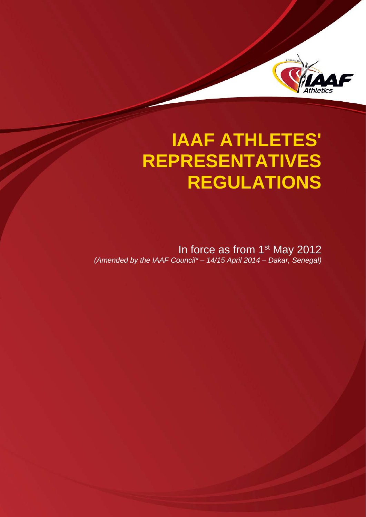

# **IAAF ATHLETES' REPRESENTATIVES REGULATIONS**

In force as from  $1<sup>st</sup>$  May 2012 *(Amended by the IAAF Council\* – 14/15 April 2014 – Dakar, Senegal)*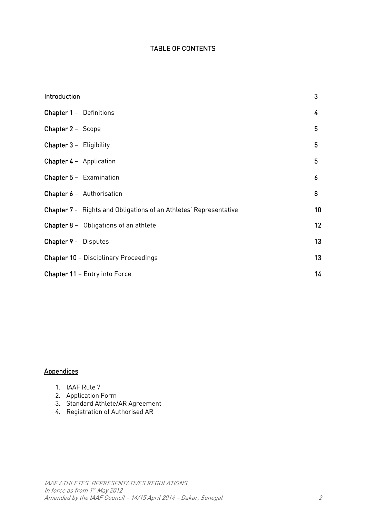# TABLE OF CONTENTS

| Introduction                     |                                                                          | 3  |
|----------------------------------|--------------------------------------------------------------------------|----|
| <b>Chapter 1 - Definitions</b>   |                                                                          | 4  |
| Chapter 2 - Scope                |                                                                          | 5  |
| <b>Chapter 3 - Eligibility</b>   |                                                                          | 5  |
| <b>Chapter 4 - Application</b>   |                                                                          | 5  |
| <b>Chapter 5 - Examination</b>   |                                                                          | 6  |
| <b>Chapter 6 - Authorisation</b> |                                                                          | 8  |
|                                  | <b>Chapter 7</b> - Rights and Obligations of an Athletes' Representative | 10 |
|                                  | <b>Chapter 8</b> - Obligations of an athlete                             | 12 |
| <b>Chapter 9 - Disputes</b>      |                                                                          | 13 |
|                                  | <b>Chapter 10 - Disciplinary Proceedings</b>                             | 13 |
|                                  | <b>Chapter 11 - Entry into Force</b>                                     | 14 |

## Appendices

- 1. IAAF Rule 7
- 2. Application Form
- 3. Standard Athlete/AR Agreement
- 4. Registration of Authorised AR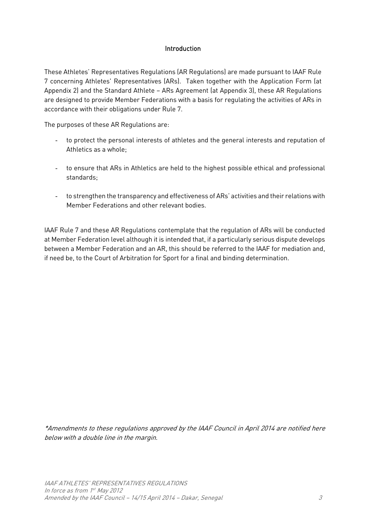# Introduction

These Athletes' Representatives Regulations (AR Regulations) are made pursuant to IAAF Rule 7 concerning Athletes' Representatives (ARs). Taken together with the Application Form (at Appendix 2) and the Standard Athlete – ARs Agreement (at Appendix 3), these AR Regulations are designed to provide Member Federations with a basis for regulating the activities of ARs in accordance with their obligations under Rule 7.

The purposes of these AR Regulations are:

- to protect the personal interests of athletes and the general interests and reputation of Athletics as a whole;
- to ensure that ARs in Athletics are held to the highest possible ethical and professional standards;
- to strengthen the transparency and effectiveness of ARs' activities and their relations with Member Federations and other relevant bodies.

IAAF Rule 7 and these AR Regulations contemplate that the regulation of ARs will be conducted at Member Federation level although it is intended that, if a particularly serious dispute develops between a Member Federation and an AR, this should be referred to the IAAF for mediation and, if need be, to the Court of Arbitration for Sport for a final and binding determination.

\*Amendments to these regulations approved by the IAAF Council in April 2014 are notified here below with a double line in the margin.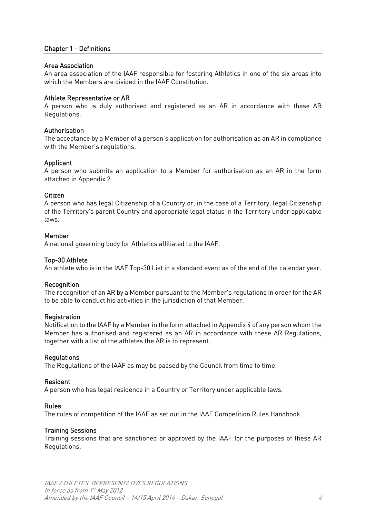## Chapter 1 - Definitions

#### Area Association

An area association of the IAAF responsible for fostering Athletics in one of the six areas into which the Members are divided in the IAAF Constitution.

## Athlete Representative or AR

A person who is duly authorised and registered as an AR in accordance with these AR Regulations.

#### Authorisation

The acceptance by a Member of a person's application for authorisation as an AR in compliance with the Member's regulations.

#### **Applicant**

A person who submits an application to a Member for authorisation as an AR in the form attached in Appendix 2.

#### Citizen

A person who has legal Citizenship of a Country or, in the case of a Territory, legal Citizenship of the Territory's parent Country and appropriate legal status in the Territory under applicable laws.

#### Member

A national governing body for Athletics affiliated to the IAAF.

## Top-30 Athlete

An athlete who is in the IAAF Top-30 List in a standard event as of the end of the calendar year.

## Recognition

The recognition of an AR by a Member pursuant to the Member's regulations in order for the AR to be able to conduct his activities in the jurisdiction of that Member.

## **Registration**

Notification to the IAAF by a Member in the form attached in Appendix 4 of any person whom the Member has authorised and registered as an AR in accordance with these AR Regulations, together with a list of the athletes the AR is to represent.

## Regulations

The Regulations of the IAAF as may be passed by the Council from time to time.

## Resident

A person who has legal residence in a Country or Territory under applicable laws.

## Rules

The rules of competition of the IAAF as set out in the IAAF Competition Rules Handbook.

## Training Sessions

Training sessions that are sanctioned or approved by the IAAF for the purposes of these AR Regulations.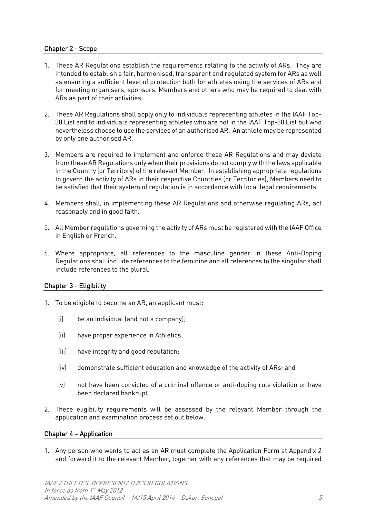## Chapter 2 - Scope

- 1. These AR Regulations establish the requirements relating to the activity of ARs. They are intended to establish a fair, harmonised, transparent and regulated system for ARs as well as ensuring a sufficient level of protection both for athletes using the services of ARs and for meeting organisers, sponsors, Members and others who may be required to deal with ARs as part of their activities.
- 2. These AR Regulations shall apply only to individuals representing athletes in the IAAF Top-30 List and to individuals representing athletes who are not in the IAAF Top-30 List but who nevertheless choose to use the services of an authorised AR. An athlete may be represented by only one authorised AR.
- 3. Members are required to implement and enforce these AR Regulations and may deviate from these AR Regulations only when their provisions do not comply with the laws applicable in the Country (or Territory) of the relevant Member. In establishing appropriate regulations to govern the activity of ARs in their respective Countries (or Territories), Members need to be satisfied that their system of regulation is in accordance with local legal requirements.
- 4. Members shall, in implementing these AR Regulations and otherwise regulating ARs, act reasonably and in good faith.
- 5. All Member regulations governing the activity of ARs must be registered with the IAAF Office in English or French.
- 6. Where appropriate, all references to the masculine gender in these Anti-Doping Regulations shall include references to the feminine and all references to the singular shall include references to the plural.

## Chapter 3 - Eligibility

- 1. To be eligible to become an AR, an applicant must:
	- (i) be an individual (and not a company);
	- (ii) have proper experience in Athletics;
	- (iii) have integrity and good reputation;
	- (iv) demonstrate sufficient education and knowledge of the activity of ARs; and
	- (v) not have been convicted of a criminal offence or anti-doping rule violation or have been declared bankrupt.
- 2. These eligibility requirements will be assessed by the relevant Member through the application and examination process set out below.

#### Chapter 4 – Application

1. Any person who wants to act as an AR must complete the Application Form at Appendix 2 and forward it to the relevant Member, together with any references that may be required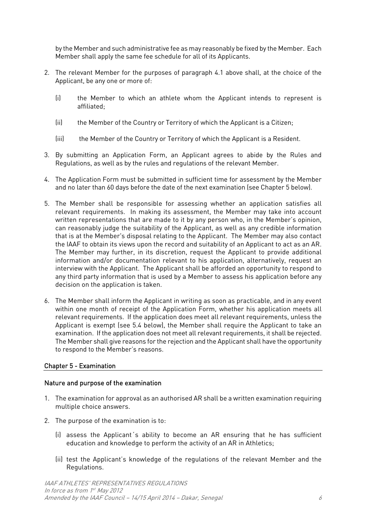by the Member and such administrative fee as may reasonably be fixed by the Member. Each Member shall apply the same fee schedule for all of its Applicants.

- 2. The relevant Member for the purposes of paragraph 4.1 above shall, at the choice of the Applicant, be any one or more of:
	- (i) the Member to which an athlete whom the Applicant intends to represent is affiliated;
	- (ii) the Member of the Country or Territory of which the Applicant is a Citizen;
	- (iii) the Member of the Country or Territory of which the Applicant is a Resident.
- 3. By submitting an Application Form, an Applicant agrees to abide by the Rules and Regulations, as well as by the rules and regulations of the relevant Member.
- 4. The Application Form must be submitted in sufficient time for assessment by the Member and no later than 60 days before the date of the next examination (see Chapter 5 below).
- 5. The Member shall be responsible for assessing whether an application satisfies all relevant requirements. In making its assessment, the Member may take into account written representations that are made to it by any person who, in the Member's opinion, can reasonably judge the suitability of the Applicant, as well as any credible information that is at the Member's disposal relating to the Applicant. The Member may also contact the IAAF to obtain its views upon the record and suitability of an Applicant to act as an AR. The Member may further, in its discretion, request the Applicant to provide additional information and/or documentation relevant to his application, alternatively, request an interview with the Applicant. The Applicant shall be afforded an opportunity to respond to any third party information that is used by a Member to assess his application before any decision on the application is taken.
- 6. The Member shall inform the Applicant in writing as soon as practicable, and in any event within one month of receipt of the Application Form, whether his application meets all relevant requirements. If the application does meet all relevant requirements, unless the Applicant is exempt (see 5.4 below), the Member shall require the Applicant to take an examination. If the application does not meet all relevant requirements, it shall be rejected. The Member shall give reasons for the rejection and the Applicant shall have the opportunity to respond to the Member's reasons.

# Chapter 5 - Examination

## Nature and purpose of the examination

- 1. The examination for approval as an authorised AR shall be a written examination requiring multiple choice answers.
- 2. The purpose of the examination is to:
	- (i) assess the Applicant´s ability to become an AR ensuring that he has sufficient education and knowledge to perform the activity of an AR in Athletics;
	- (ii) test the Applicant's knowledge of the regulations of the relevant Member and the Regulations.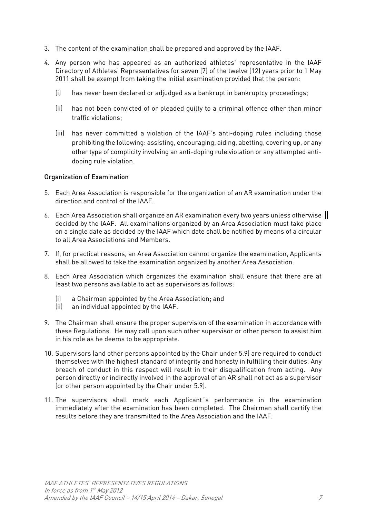- 3. The content of the examination shall be prepared and approved by the IAAF.
- 4. Any person who has appeared as an authorized athletes' representative in the IAAF Directory of Athletes' Representatives for seven (7) of the twelve (12) years prior to 1 May 2011 shall be exempt from taking the initial examination provided that the person:
	- (i) has never been declared or adjudged as a bankrupt in bankruptcy proceedings;
	- (ii) has not been convicted of or pleaded guilty to a criminal offence other than minor traffic violations;
	- (iii) has never committed a violation of the IAAF's anti-doping rules including those prohibiting the following: assisting, encouraging, aiding, abetting, covering up, or any other type of complicity involving an anti-doping rule violation or any attempted antidoping rule violation.

# Organization of Examination

- 5. Each Area Association is responsible for the organization of an AR examination under the direction and control of the IAAF.
- 6. Each Area Association shall organize an AR examination every two years unless otherwise decided by the IAAF. All examinations organized by an Area Association must take place on a single date as decided by the IAAF which date shall be notified by means of a circular to all Area Associations and Members.
- 7. If, for practical reasons, an Area Association cannot organize the examination, Applicants shall be allowed to take the examination organized by another Area Association.
- 8. Each Area Association which organizes the examination shall ensure that there are at least two persons available to act as supervisors as follows:
	- (i) a Chairman appointed by the Area Association; and
	- (ii) an individual appointed by the IAAF.
- 9. The Chairman shall ensure the proper supervision of the examination in accordance with these Regulations. He may call upon such other supervisor or other person to assist him in his role as he deems to be appropriate.
- 10. Supervisors (and other persons appointed by the Chair under 5.9) are required to conduct themselves with the highest standard of integrity and honesty in fulfilling their duties. Any breach of conduct in this respect will result in their disqualification from acting. Any person directly or indirectly involved in the approval of an AR shall not act as a supervisor (or other person appointed by the Chair under 5.9).
- 11. The supervisors shall mark each Applicant´s performance in the examination immediately after the examination has been completed. The Chairman shall certify the results before they are transmitted to the Area Association and the IAAF.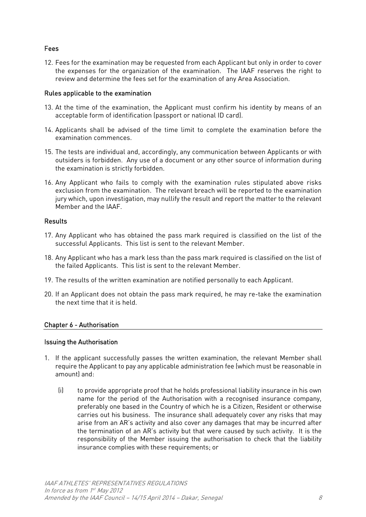# Fees

12. Fees for the examination may be requested from each Applicant but only in order to cover the expenses for the organization of the examination. The IAAF reserves the right to review and determine the fees set for the examination of any Area Association.

## Rules applicable to the examination

- 13. At the time of the examination, the Applicant must confirm his identity by means of an acceptable form of identification (passport or national ID card).
- 14. Applicants shall be advised of the time limit to complete the examination before the examination commences.
- 15. The tests are individual and, accordingly, any communication between Applicants or with outsiders is forbidden. Any use of a document or any other source of information during the examination is strictly forbidden.
- 16. Any Applicant who fails to comply with the examination rules stipulated above risks exclusion from the examination. The relevant breach will be reported to the examination jury which, upon investigation, may nullify the result and report the matter to the relevant Member and the IAAF.

## Results

- 17. Any Applicant who has obtained the pass mark required is classified on the list of the successful Applicants. This list is sent to the relevant Member.
- 18. Any Applicant who has a mark less than the pass mark required is classified on the list of the failed Applicants. This list is sent to the relevant Member.
- 19. The results of the written examination are notified personally to each Applicant.
- 20. If an Applicant does not obtain the pass mark required, he may re-take the examination the next time that it is held.

## Chapter 6 - Authorisation

## Issuing the Authorisation

- 1. If the applicant successfully passes the written examination, the relevant Member shall require the Applicant to pay any applicable administration fee (which must be reasonable in amount) and:
	- (i) to provide appropriate proof that he holds professional liability insurance in his own name for the period of the Authorisation with a recognised insurance company, preferably one based in the Country of which he is a Citizen, Resident or otherwise carries out his business. The insurance shall adequately cover any risks that may arise from an AR's activity and also cover any damages that may be incurred after the termination of an AR's activity but that were caused by such activity. It is the responsibility of the Member issuing the authorisation to check that the liability insurance complies with these requirements; or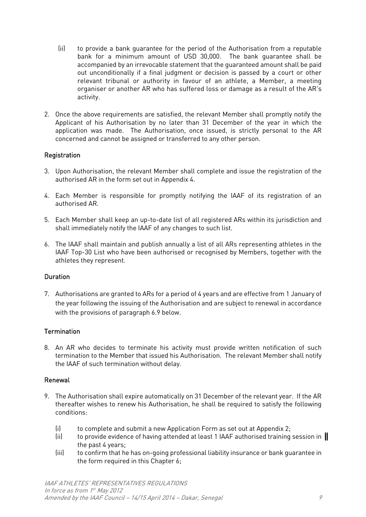- (ii) to provide a bank guarantee for the period of the Authorisation from a reputable bank for a minimum amount of USD 30,000. The bank guarantee shall be accompanied by an irrevocable statement that the guaranteed amount shall be paid out unconditionally if a final judgment or decision is passed by a court or other relevant tribunal or authority in favour of an athlete, a Member, a meeting organiser or another AR who has suffered loss or damage as a result of the AR's activity.
- 2. Once the above requirements are satisfied, the relevant Member shall promptly notify the Applicant of his Authorisation by no later than 31 December of the year in which the application was made. The Authorisation, once issued, is strictly personal to the AR concerned and cannot be assigned or transferred to any other person.

# **Registration**

- 3. Upon Authorisation, the relevant Member shall complete and issue the registration of the authorised AR in the form set out in Appendix 4.
- 4. Each Member is responsible for promptly notifying the IAAF of its registration of an authorised AR.
- 5. Each Member shall keep an up-to-date list of all registered ARs within its jurisdiction and shall immediately notify the IAAF of any changes to such list.
- 6. The IAAF shall maintain and publish annually a list of all ARs representing athletes in the IAAF Top-30 List who have been authorised or recognised by Members, together with the athletes they represent.

## **Duration**

7. Authorisations are granted to ARs for a period of 4 years and are effective from 1 January of the year following the issuing of the Authorisation and are subject to renewal in accordance with the provisions of paragraph 6.9 below.

## **Termination**

8. An AR who decides to terminate his activity must provide written notification of such termination to the Member that issued his Authorisation. The relevant Member shall notify the IAAF of such termination without delay.

## Renewal

- 9. The Authorisation shall expire automatically on 31 December of the relevant year. If the AR thereafter wishes to renew his Authorisation, he shall be required to satisfy the following conditions:
	- (i) to complete and submit a new Application Form as set out at Appendix 2;
	- (ii) to provide evidence of having attended at least 1 IAAF authorised training session in the past 4 years;
	- (iii) to confirm that he has on-going professional liability insurance or bank guarantee in the form required in this Chapter 6;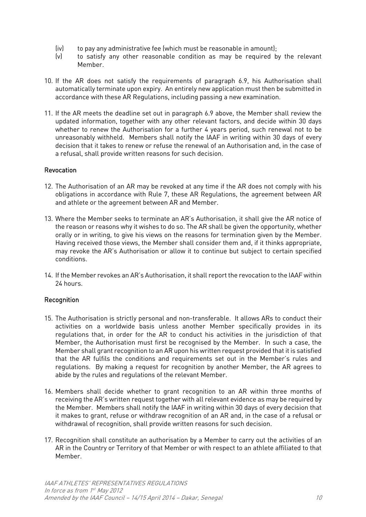- (iv) to pay any administrative fee (which must be reasonable in amount);
- (v) to satisfy any other reasonable condition as may be required by the relevant Member.
- 10. If the AR does not satisfy the requirements of paragraph 6.9, his Authorisation shall automatically terminate upon expiry. An entirely new application must then be submitted in accordance with these AR Regulations, including passing a new examination.
- 11. If the AR meets the deadline set out in paragraph 6.9 above, the Member shall review the updated information, together with any other relevant factors, and decide within 30 days whether to renew the Authorisation for a further 4 years period, such renewal not to be unreasonably withheld. Members shall notify the IAAF in writing within 30 days of every decision that it takes to renew or refuse the renewal of an Authorisation and, in the case of a refusal, shall provide written reasons for such decision.

#### Revocation

- 12. The Authorisation of an AR may be revoked at any time if the AR does not comply with his obligations in accordance with Rule 7, these AR Regulations, the agreement between AR and athlete or the agreement between AR and Member.
- 13. Where the Member seeks to terminate an AR's Authorisation, it shall give the AR notice of the reason or reasons why it wishes to do so. The AR shall be given the opportunity, whether orally or in writing, to give his views on the reasons for termination given by the Member. Having received those views, the Member shall consider them and, if it thinks appropriate, may revoke the AR's Authorisation or allow it to continue but subject to certain specified conditions.
- 14. If the Member revokes an AR's Authorisation, it shall report the revocation to the IAAF within 24 hours.

## **Recognition**

- 15. The Authorisation is strictly personal and non-transferable. It allows ARs to conduct their activities on a worldwide basis unless another Member specifically provides in its regulations that, in order for the AR to conduct his activities in the jurisdiction of that Member, the Authorisation must first be recognised by the Member. In such a case, the Member shall grant recognition to an AR upon his written request provided that it is satisfied that the AR fulfils the conditions and requirements set out in the Member's rules and regulations. By making a request for recognition by another Member, the AR agrees to abide by the rules and regulations of the relevant Member.
- 16. Members shall decide whether to grant recognition to an AR within three months of receiving the AR's written request together with all relevant evidence as may be required by the Member. Members shall notify the IAAF in writing within 30 days of every decision that it makes to grant, refuse or withdraw recognition of an AR and, in the case of a refusal or withdrawal of recognition, shall provide written reasons for such decision.
- 17. Recognition shall constitute an authorisation by a Member to carry out the activities of an AR in the Country or Territory of that Member or with respect to an athlete affiliated to that Member.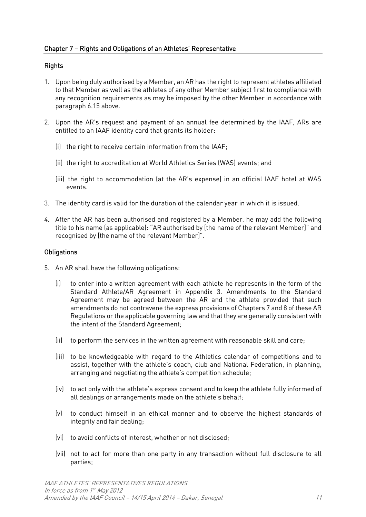# Chapter 7 – Rights and Obligations of an Athletes' Representative

## Rights

- 1. Upon being duly authorised by a Member, an AR has the right to represent athletes affiliated to that Member as well as the athletes of any other Member subject first to compliance with any recognition requirements as may be imposed by the other Member in accordance with paragraph 6.15 above.
- 2. Upon the AR's request and payment of an annual fee determined by the IAAF, ARs are entitled to an IAAF identity card that grants its holder:
	- (i) the right to receive certain information from the IAAF;
	- (ii) the right to accreditation at World Athletics Series (WAS) events; and
	- (iii) the right to accommodation (at the AR's expense) in an official IAAF hotel at WAS events.
- 3. The identity card is valid for the duration of the calendar year in which it is issued.
- 4. After the AR has been authorised and registered by a Member, he may add the following title to his name (as applicable): "AR authorised by [the name of the relevant Member]" and recognised by [the name of the relevant Member]".

## **Obligations**

- 5. An AR shall have the following obligations:
	- (i) to enter into a written agreement with each athlete he represents in the form of the Standard Athlete/AR Agreement in Appendix 3. Amendments to the Standard Agreement may be agreed between the AR and the athlete provided that such amendments do not contravene the express provisions of Chapters 7 and 8 of these AR Regulations or the applicable governing law and that they are generally consistent with the intent of the Standard Agreement;
	- (ii) to perform the services in the written agreement with reasonable skill and care;
	- (iii) to be knowledgeable with regard to the Athletics calendar of competitions and to assist, together with the athlete's coach, club and National Federation, in planning, arranging and negotiating the athlete's competition schedule;
	- (iv) to act only with the athlete's express consent and to keep the athlete fully informed of all dealings or arrangements made on the athlete's behalf;
	- (v) to conduct himself in an ethical manner and to observe the highest standards of integrity and fair dealing;
	- (vi) to avoid conflicts of interest, whether or not disclosed;
	- (vii) not to act for more than one party in any transaction without full disclosure to all parties;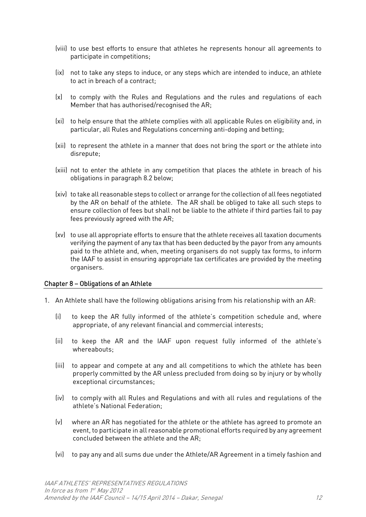- (viii) to use best efforts to ensure that athletes he represents honour all agreements to participate in competitions;
- (ix) not to take any steps to induce, or any steps which are intended to induce, an athlete to act in breach of a contract;
- (x) to comply with the Rules and Regulations and the rules and regulations of each Member that has authorised/recognised the AR;
- (xi) to help ensure that the athlete complies with all applicable Rules on eligibility and, in particular, all Rules and Regulations concerning anti-doping and betting;
- (xii) to represent the athlete in a manner that does not bring the sport or the athlete into disrepute;
- (xiii) not to enter the athlete in any competition that places the athlete in breach of his obligations in paragraph 8.2 below;
- (xiv) to take all reasonable steps to collect or arrange for the collection of all fees negotiated by the AR on behalf of the athlete. The AR shall be obliged to take all such steps to ensure collection of fees but shall not be liable to the athlete if third parties fail to pay fees previously agreed with the AR;
- (xv) to use all appropriate efforts to ensure that the athlete receives all taxation documents verifying the payment of any tax that has been deducted by the payor from any amounts paid to the athlete and, when, meeting organisers do not supply tax forms, to inform the IAAF to assist in ensuring appropriate tax certificates are provided by the meeting organisers.

## Chapter 8 – Obligations of an Athlete

- 1. An Athlete shall have the following obligations arising from his relationship with an AR:
	- (i) to keep the AR fully informed of the athlete's competition schedule and, where appropriate, of any relevant financial and commercial interests;
	- (ii) to keep the AR and the IAAF upon request fully informed of the athlete's whereabouts;
	- (iii) to appear and compete at any and all competitions to which the athlete has been properly committed by the AR unless precluded from doing so by injury or by wholly exceptional circumstances;
	- (iv) to comply with all Rules and Regulations and with all rules and regulations of the athlete's National Federation;
	- (v) where an AR has negotiated for the athlete or the athlete has agreed to promote an event, to participate in all reasonable promotional efforts required by any agreement concluded between the athlete and the AR;
	- (vi) to pay any and all sums due under the Athlete/AR Agreement in a timely fashion and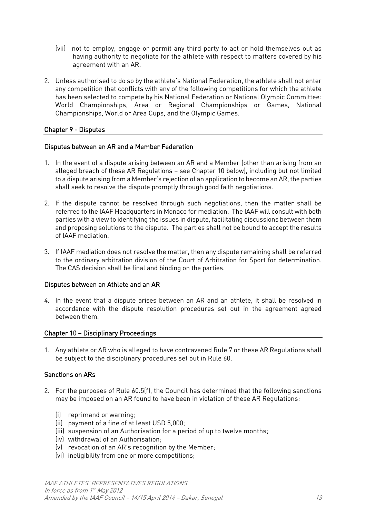- (vii) not to employ, engage or permit any third party to act or hold themselves out as having authority to negotiate for the athlete with respect to matters covered by his agreement with an AR.
- 2. Unless authorised to do so by the athlete's National Federation, the athlete shall not enter any competition that conflicts with any of the following competitions for which the athlete has been selected to compete by his National Federation or National Olympic Committee: World Championships, Area or Regional Championships or Games, National Championships, World or Area Cups, and the Olympic Games.

## Chapter 9 - Disputes

## Disputes between an AR and a Member Federation

- 1. In the event of a dispute arising between an AR and a Member (other than arising from an alleged breach of these AR Regulations – see Chapter 10 below), including but not limited to a dispute arising from a Member's rejection of an application to become an AR, the parties shall seek to resolve the dispute promptly through good faith negotiations.
- 2. If the dispute cannot be resolved through such negotiations, then the matter shall be referred to the IAAF Headquarters in Monaco for mediation. The IAAF will consult with both parties with a view to identifying the issues in dispute, facilitating discussions between them and proposing solutions to the dispute. The parties shall not be bound to accept the results of IAAF mediation.
- 3. If IAAF mediation does not resolve the matter, then any dispute remaining shall be referred to the ordinary arbitration division of the Court of Arbitration for Sport for determination. The CAS decision shall be final and binding on the parties.

## Disputes between an Athlete and an AR

4. In the event that a dispute arises between an AR and an athlete, it shall be resolved in accordance with the dispute resolution procedures set out in the agreement agreed between them.

# Chapter 10 – Disciplinary Proceedings

1. Any athlete or AR who is alleged to have contravened Rule 7 or these AR Regulations shall be subject to the disciplinary procedures set out in Rule 60.

## Sanctions on ARs

- 2. For the purposes of Rule 60.5(f), the Council has determined that the following sanctions may be imposed on an AR found to have been in violation of these AR Regulations:
	- (i) reprimand or warning;
	- (ii) payment of a fine of at least USD 5,000;
	- (iii) suspension of an Authorisation for a period of up to twelve months;
	- (iv) withdrawal of an Authorisation;
	- (v) revocation of an AR's recognition by the Member;
	- (vi) ineligibility from one or more competitions;